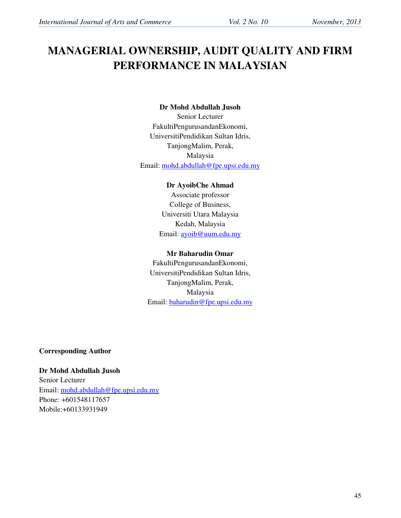# **MANAGERIAL OWNERSHIP, AUDIT QUALITY AND FIRM PERFORMANCE IN MALAYSIAN**

#### **Dr Mohd Abdullah Jusoh**

Senior Lecturer FakultiPengurusandanEkonomi, UniversitiPendidikan Sultan Idris, TanjongMalim, Perak, Malaysia Email: mohd.abdullah@fpe.upsi.edu.my

#### **Dr AyoibChe Ahmad**

Associate professor College of Business, Universiti Utara Malaysia Kedah, Malaysia Email: ayoib@uum.edu.my

## **Mr Baharudin Omar**

FakultiPengurusandanEkonomi, UniversitiPendidikan Sultan Idris, TanjongMalim, Perak, Malaysia Email: baharudin@fpe.upsi.edu.my

**Corresponding Author** 

**Dr Mohd Abdullah Jusoh**  Senior Lecturer Email: mohd.abdullah@fpe.upsi.edu.my Phone: +601548117657 Mobile:+60133931949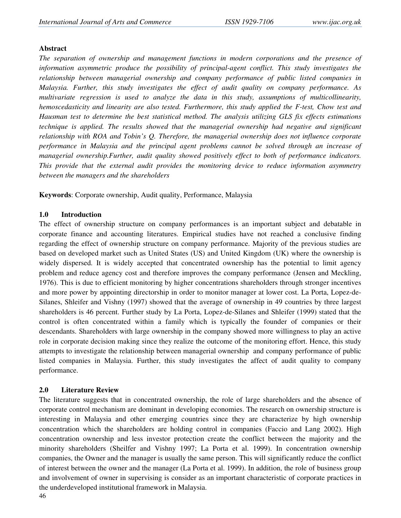#### **Abstract**

*The separation of ownership and management functions in modern corporations and the presence of information asymmetric produce the possibility of principal-agent conflict. This study investigates the relationship between managerial ownership and company performance of public listed companies in Malaysia. Further, this study investigates the effect of audit quality on company performance. As multivariate regression is used to analyze the data in this study, assumptions of multicollinearity, hemoscedasticity and linearity are also tested. Furthermore, this study applied the F-test, Chow test and Hausman test to determine the best statistical method. The analysis utilizing GLS fix effects estimations technique is applied. The results showed that the managerial ownership had negative and significant relationship with ROA and Tobin's Q. Therefore, the managerial ownership does not influence corporate performance in Malaysia and the principal agent problems cannot be solved through an increase of managerial ownership.Further, audit quality showed positively effect to both of performance indicators. This provide that the external audit provides the monitoring device to reduce information asymmetry between the managers and the shareholders* 

**Keywords**: Corporate ownership, Audit quality, Performance, Malaysia

#### **1.0 Introduction**

The effect of ownership structure on company performances is an important subject and debatable in corporate finance and accounting literatures. Empirical studies have not reached a conclusive finding regarding the effect of ownership structure on company performance. Majority of the previous studies are based on developed market such as United States (US) and United Kingdom (UK) where the ownership is widely dispersed. It is widely accepted that concentrated ownership has the potential to limit agency problem and reduce agency cost and therefore improves the company performance (Jensen and Meckling, 1976). This is due to efficient monitoring by higher concentrations shareholders through stronger incentives and more power by appointing directorship in order to monitor manager at lower cost. La Porta, Lopez-de-Silanes, Shleifer and Vishny (1997) showed that the average of ownership in 49 countries by three largest shareholders is 46 percent. Further study by La Porta, Lopez-de-Silanes and Shleifer (1999) stated that the control is often concentrated within a family which is typically the founder of companies or their descendants. Shareholders with large ownership in the company showed more willingness to play an active role in corporate decision making since they realize the outcome of the monitoring effort. Hence, this study attempts to investigate the relationship between managerial ownership and company performance of public listed companies in Malaysia. Further, this study investigates the affect of audit quality to company performance.

#### **2.0 Literature Review**

The literature suggests that in concentrated ownership, the role of large shareholders and the absence of corporate control mechanism are dominant in developing economies. The research on ownership structure is interesting in Malaysia and other emerging countries since they are characterize by high ownership concentration which the shareholders are holding control in companies (Faccio and Lang 2002). High concentration ownership and less investor protection create the conflict between the majority and the minority shareholders (Sheilfer and Vishny 1997; La Porta et al. 1999). In concentration ownership companies, the Owner and the manager is usually the same person. This will significantly reduce the conflict of interest between the owner and the manager (La Porta et al. 1999). In addition, the role of business group and involvement of owner in supervising is consider as an important characteristic of corporate practices in the underdeveloped institutional framework in Malaysia.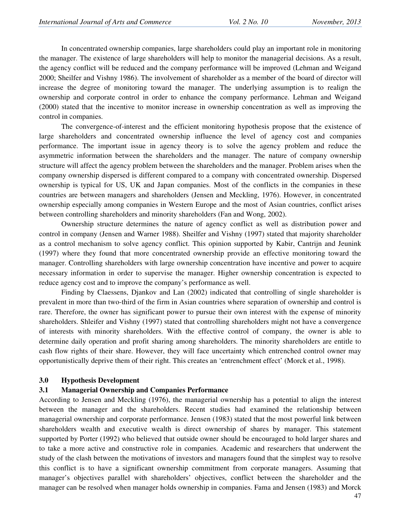In concentrated ownership companies, large shareholders could play an important role in monitoring the manager. The existence of large shareholders will help to monitor the managerial decisions. As a result, the agency conflict will be reduced and the company performance will be improved (Lehman and Weigand 2000; Sheilfer and Vishny 1986). The involvement of shareholder as a member of the board of director will increase the degree of monitoring toward the manager. The underlying assumption is to realign the ownership and corporate control in order to enhance the company performance. Lehman and Weigand (2000) stated that the incentive to monitor increase in ownership concentration as well as improving the control in companies.

 The convergence-of-interest and the efficient monitoring hypothesis propose that the existence of large shareholders and concentrated ownership influence the level of agency cost and companies performance. The important issue in agency theory is to solve the agency problem and reduce the asymmetric information between the shareholders and the manager. The nature of company ownership structure will affect the agency problem between the shareholders and the manager. Problem arises when the company ownership dispersed is different compared to a company with concentrated ownership. Dispersed ownership is typical for US, UK and Japan companies. Most of the conflicts in the companies in these countries are between managers and shareholders (Jensen and Meckling, 1976). However, in concentrated ownership especially among companies in Western Europe and the most of Asian countries, conflict arises between controlling shareholders and minority shareholders (Fan and Wong, 2002).

Ownership structure determines the nature of agency conflict as well as distribution power and control in company (Jensen and Warner 1988). Sheilfer and Vishny (1997) stated that majority shareholder as a control mechanism to solve agency conflict. This opinion supported by Kabir, Cantrijn and Jeunink (1997) where they found that more concentrated ownership provide an effective monitoring toward the manager. Controlling shareholders with large ownership concentration have incentive and power to acquire necessary information in order to supervise the manager. Higher ownership concentration is expected to reduce agency cost and to improve the company's performance as well.

Finding by Claessens, Djankov and Lan (2002) indicated that controlling of single shareholder is prevalent in more than two-third of the firm in Asian countries where separation of ownership and control is rare. Therefore, the owner has significant power to pursue their own interest with the expense of minority shareholders. Shleifer and Vishny (1997) stated that controlling shareholders might not have a convergence of interests with minority shareholders. With the effective control of company, the owner is able to determine daily operation and profit sharing among shareholders. The minority shareholders are entitle to cash flow rights of their share. However, they will face uncertainty which entrenched control owner may opportunistically deprive them of their right. This creates an 'entrenchment effect' (Morck et al., 1998).

#### **3.0 Hypothesis Development**

#### **3.1 Managerial Ownership and Companies Performance**

According to Jensen and Meckling (1976), the managerial ownership has a potential to align the interest between the manager and the shareholders. Recent studies had examined the relationship between managerial ownership and corporate performance. Jensen (1983) stated that the most powerful link between shareholders wealth and executive wealth is direct ownership of shares by manager. This statement supported by Porter (1992) who believed that outside owner should be encouraged to hold larger shares and to take a more active and constructive role in companies. Academic and researchers that underwent the study of the clash between the motivations of investors and managers found that the simplest way to resolve this conflict is to have a significant ownership commitment from corporate managers. Assuming that manager's objectives parallel with shareholders' objectives, conflict between the shareholder and the manager can be resolved when manager holds ownership in companies. Fama and Jensen (1983) and Morck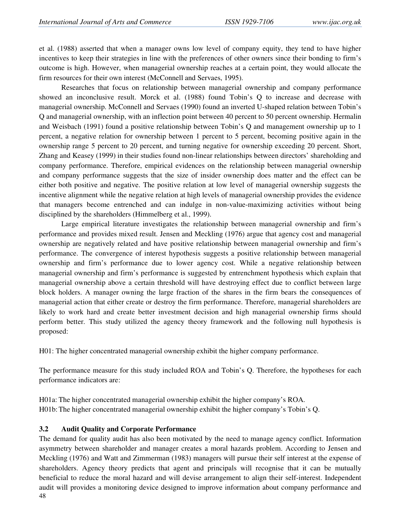et al. (1988) asserted that when a manager owns low level of company equity, they tend to have higher incentives to keep their strategies in line with the preferences of other owners since their bonding to firm's outcome is high. However, when managerial ownership reaches at a certain point, they would allocate the firm resources for their own interest (McConnell and Servaes, 1995).

Researches that focus on relationship between managerial ownership and company performance showed an inconclusive result. Morck et al. (1988) found Tobin's Q to increase and decrease with managerial ownership. McConnell and Servaes (1990) found an inverted U-shaped relation between Tobin's Q and managerial ownership, with an inflection point between 40 percent to 50 percent ownership. Hermalin and Weisbach (1991) found a positive relationship between Tobin's Q and management ownership up to 1 percent, a negative relation for ownership between 1 percent to 5 percent, becoming positive again in the ownership range 5 percent to 20 percent, and turning negative for ownership exceeding 20 percent. Short, Zhang and Keasey (1999) in their studies found non-linear relationships between directors' shareholding and company performance. Therefore, empirical evidences on the relationship between managerial ownership and company performance suggests that the size of insider ownership does matter and the effect can be either both positive and negative. The positive relation at low level of managerial ownership suggests the incentive alignment while the negative relation at high levels of managerial ownership provides the evidence that managers become entrenched and can indulge in non-value-maximizing activities without being disciplined by the shareholders (Himmelberg et al., 1999).

Large empirical literature investigates the relationship between managerial ownership and firm's performance and provides mixed result. Jensen and Meckling (1976) argue that agency cost and managerial ownership are negatively related and have positive relationship between managerial ownership and firm's performance. The convergence of interest hypothesis suggests a positive relationship between managerial ownership and firm's performance due to lower agency cost. While a negative relationship between managerial ownership and firm's performance is suggested by entrenchment hypothesis which explain that managerial ownership above a certain threshold will have destroying effect due to conflict between large block holders. A manager owning the large fraction of the shares in the firm bears the consequences of managerial action that either create or destroy the firm performance. Therefore, managerial shareholders are likely to work hard and create better investment decision and high managerial ownership firms should perform better. This study utilized the agency theory framework and the following null hypothesis is proposed:

H01: The higher concentrated managerial ownership exhibit the higher company performance.

The performance measure for this study included ROA and Tobin's Q. Therefore, the hypotheses for each performance indicators are:

H01a: The higher concentrated managerial ownership exhibit the higher company's ROA. H01b: The higher concentrated managerial ownership exhibit the higher company's Tobin's Q.

## **3.2 Audit Quality and Corporate Performance**

48 The demand for quality audit has also been motivated by the need to manage agency conflict. Information asymmetry between shareholder and manager creates a moral hazards problem. According to Jensen and Meckling (1976) and Watt and Zimmerman (1983) managers will pursue their self interest at the expense of shareholders. Agency theory predicts that agent and principals will recognise that it can be mutually beneficial to reduce the moral hazard and will devise arrangement to align their self-interest. Independent audit will provides a monitoring device designed to improve information about company performance and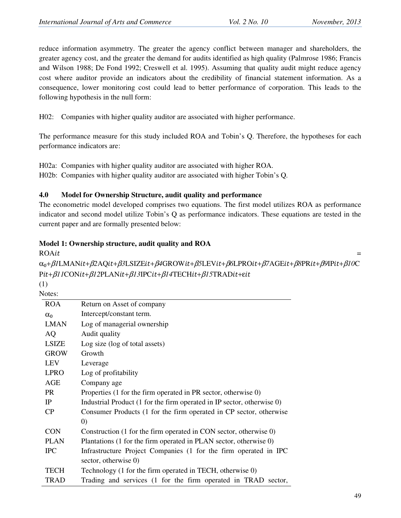reduce information asymmetry. The greater the agency conflict between manager and shareholders, the greater agency cost, and the greater the demand for audits identified as high quality (Palmrose 1986; Francis and Wilson 1988; De Fond 1992; Creswell et al. 1995). Assuming that quality audit might reduce agency cost where auditor provide an indicators about the credibility of financial statement information. As a consequence, lower monitoring cost could lead to better performance of corporation. This leads to the following hypothesis in the null form:

H02: Companies with higher quality auditor are associated with higher performance.

The performance measure for this study included ROA and Tobin's Q. Therefore, the hypotheses for each performance indicators are:

H02a: Companies with higher quality auditor are associated with higher ROA.

H02b: Companies with higher quality auditor are associated with higher Tobin's Q.

## **4.0 Model for Ownership Structure, audit quality and performance**

The econometric model developed comprises two equations. The first model utilizes ROA as performance indicator and second model utilize Tobin's Q as performance indicators. These equations are tested in the current paper and are formally presented below:

## **Model 1: Ownership structure, audit quality and ROA**

ROAit en de la construction de la construction de la construction de la construction de la construction de la construction<br>En 1990 en la construction de la construction de la construction de la construction de la construction d

α₀+β*1*LMAN-+β*2*AQ-+β*3*LSIZE-+β*4*GROW-+β*5*LEV-+β*6*LPRO-+β*7*AGE-+β*8*PR-+β*9*IP-+β*10*C Pit+β11CONit+β12PLANit+β13IPCit+β14TECHit+β15TRADit+εit

(1) Notes:

| Return on Asset of company                                             |
|------------------------------------------------------------------------|
| Intercept/constant term.                                               |
| Log of managerial ownership                                            |
| Audit quality                                                          |
| Log size (log of total assets)                                         |
| Growth                                                                 |
| Leverage                                                               |
| Log of profitability                                                   |
| Company age                                                            |
| Properties (1 for the firm operated in PR sector, otherwise 0)         |
| Industrial Product (1 for the firm operated in IP sector, otherwise 0) |
| Consumer Products (1 for the firm operated in CP sector, otherwise     |
| $\left( 0\right)$                                                      |
| Construction (1 for the firm operated in CON sector, otherwise 0)      |
| Plantations (1 for the firm operated in PLAN sector, otherwise 0)      |
| Infrastructure Project Companies (1 for the firm operated in IPC       |
| sector, otherwise 0)                                                   |
| Technology (1 for the firm operated in TECH, otherwise 0)              |
| Trading and services (1 for the firm operated in TRAD sector,          |
|                                                                        |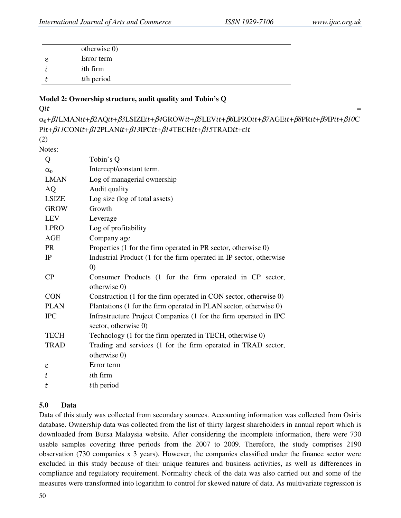| otherwise $0$ )  |  |
|------------------|--|
| Error term       |  |
| <i>i</i> th firm |  |
| tth period       |  |

#### **Model 2: Ownership structure, audit quality and Tobin's Q**

#### $Qit$  $\mathcal{L}=\mathcal{L}^{\mathcal{L}}$  , where  $\mathcal{L}^{\mathcal{L}}=\mathcal{L}^{\mathcal{L}}$  , where  $\mathcal{L}^{\mathcal{L}}=\mathcal{L}^{\mathcal{L}}$  , where  $\mathcal{L}^{\mathcal{L}}=\mathcal{L}^{\mathcal{L}}$

α₀+β*1*LMAN-+β*2*AQ-+β*3*LSIZE-+β*4*GROW-+β*5*LEV-+β*6*LPRO-+β*7*AGE-+β*8*PR-+β*9*IP-+β*10*C Pit+β11CONit+β12PLANit+β13IPCit+β14TECHit+β15TRADit+εit

(2) Notes:

| vw.          |                                                                                          |
|--------------|------------------------------------------------------------------------------------------|
| Q            | Tobin's Q                                                                                |
| $\alpha_0$   | Intercept/constant term.                                                                 |
| <b>LMAN</b>  | Log of managerial ownership                                                              |
| <b>AQ</b>    | Audit quality                                                                            |
| <b>LSIZE</b> | Log size (log of total assets)                                                           |
| <b>GROW</b>  | Growth                                                                                   |
| <b>LEV</b>   | Leverage                                                                                 |
| <b>LPRO</b>  | Log of profitability                                                                     |
| AGE          | Company age                                                                              |
| PR           | Properties (1 for the firm operated in PR sector, otherwise 0)                           |
| $_{\rm IP}$  | Industrial Product (1 for the firm operated in IP sector, otherwise                      |
|              | (0)                                                                                      |
| $\rm CP$     | Consumer Products (1 for the firm operated in CP sector,                                 |
|              | otherwise 0)                                                                             |
| <b>CON</b>   | Construction (1 for the firm operated in CON sector, otherwise 0)                        |
| <b>PLAN</b>  | Plantations (1 for the firm operated in PLAN sector, otherwise 0)                        |
| <b>IPC</b>   | Infrastructure Project Companies (1 for the firm operated in IPC<br>sector, otherwise 0) |
| <b>TECH</b>  | Technology (1 for the firm operated in TECH, otherwise 0)                                |
| <b>TRAD</b>  | Trading and services (1 for the firm operated in TRAD sector,                            |
|              | otherwise 0)                                                                             |
| ε            | Error term                                                                               |
| i            | <i>ith</i> firm                                                                          |
| t            | tth period                                                                               |

## **5.0 Data**

Data of this study was collected from secondary sources. Accounting information was collected from Osiris database. Ownership data was collected from the list of thirty largest shareholders in annual report which is downloaded from Bursa Malaysia website. After considering the incomplete information, there were 730 usable samples covering three periods from the 2007 to 2009. Therefore, the study comprises 2190 observation (730 companies x 3 years). However, the companies classified under the finance sector were excluded in this study because of their unique features and business activities, as well as differences in compliance and regulatory requirement. Normality check of the data was also carried out and some of the measures were transformed into logarithm to control for skewed nature of data. As multivariate regression is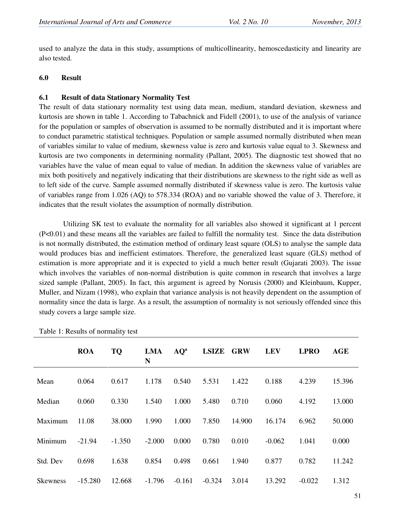used to analyze the data in this study, assumptions of multicollinearity, hemoscedasticity and linearity are also tested.

#### **6.0 Result**

#### **6.1 Result of data Stationary Normality Test**

The result of data stationary normality test using data mean, medium, standard deviation, skewness and kurtosis are shown in table 1. According to Tabachnick and Fidell (2001), to use of the analysis of variance for the population or samples of observation is assumed to be normally distributed and it is important where to conduct parametric statistical techniques. Population or sample assumed normally distributed when mean of variables similar to value of medium, skewness value is zero and kurtosis value equal to 3. Skewness and kurtosis are two components in determining normality (Pallant, 2005). The diagnostic test showed that no variables have the value of mean equal to value of median. In addition the skewness value of variables are mix both positively and negatively indicating that their distributions are skewness to the right side as well as to left side of the curve. Sample assumed normally distributed if skewness value is zero. The kurtosis value of variables range from 1.026 (AQ) to 578.334 (ROA) and no variable showed the value of 3. Therefore, it indicates that the result violates the assumption of normally distribution.

 Utilizing SK test to evaluate the normality for all variables also showed it significant at 1 percent (P<0.01) and these means all the variables are failed to fulfill the normality test. Since the data distribution is not normally distributed, the estimation method of ordinary least square (OLS) to analyse the sample data would produces bias and inefficient estimators. Therefore, the generalized least square (GLS) method of estimation is more appropriate and it is expected to yield a much better result (Gujarati 2003). The issue which involves the variables of non-normal distribution is quite common in research that involves a large sized sample (Pallant, 2005). In fact, this argument is agreed by Norusis (2000) and Kleinbaum, Kupper, Muller, and Nizam (1998), who explain that variance analysis is not heavily dependent on the assumption of normality since the data is large. As a result, the assumption of normality is not seriously offended since this study covers a large sample size.

|                 | <b>ROA</b> | <b>TQ</b> | <b>LMA</b><br>N | $AQ^a$   | <b>LSIZE</b> | <b>GRW</b> | <b>LEV</b> | <b>LPRO</b> | <b>AGE</b> |
|-----------------|------------|-----------|-----------------|----------|--------------|------------|------------|-------------|------------|
| Mean            | 0.064      | 0.617     | 1.178           | 0.540    | 5.531        | 1.422      | 0.188      | 4.239       | 15.396     |
| Median          | 0.060      | 0.330     | 1.540           | 1.000    | 5.480        | 0.710      | 0.060      | 4.192       | 13.000     |
| Maximum         | 11.08      | 38.000    | 1.990           | 1.000    | 7.850        | 14.900     | 16.174     | 6.962       | 50.000     |
| Minimum         | $-21.94$   | $-1.350$  | $-2.000$        | 0.000    | 0.780        | 0.010      | $-0.062$   | 1.041       | 0.000      |
| Std. Dev        | 0.698      | 1.638     | 0.854           | 0.498    | 0.661        | 1.940      | 0.877      | 0.782       | 11.242     |
| <b>Skewness</b> | $-15.280$  | 12.668    | $-1.796$        | $-0.161$ | $-0.324$     | 3.014      | 13.292     | $-0.022$    | 1.312      |

Table 1: Results of normality test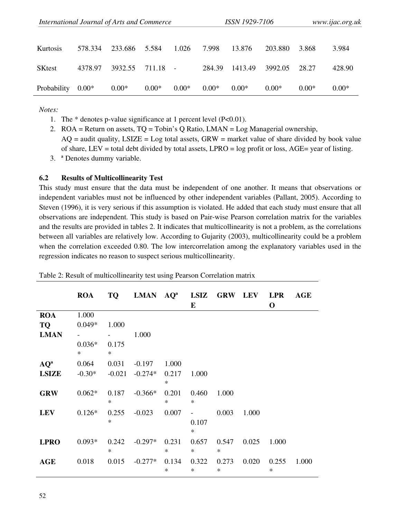| International Journal of Arts and Commerce |         |         |         | <i>ISSN 1929-7106</i> |         |         | www.ijac.org.uk |         |         |
|--------------------------------------------|---------|---------|---------|-----------------------|---------|---------|-----------------|---------|---------|
| Kurtosis                                   | 578.334 | 233.686 | 5.584   | 1.026                 | 7.998   | 13.876  | 203.880         | 3.868   | 3.984   |
| <b>SKtest</b>                              | 4378.97 | 3932.55 | 711.18  |                       | 284.39  | 1413.49 | 3992.05         | 28.27   | 428.90  |
| Probability                                | $0.00*$ | $0.00*$ | $0.00*$ | $0.00*$               | $0.00*$ | $0.00*$ | $0.00*$         | $0.00*$ | $0.00*$ |

*Notes:* 

- 1. The  $*$  denotes p-value significance at 1 percent level (P<0.01).
- 2. ROA = Return on assets, TQ = Tobin's Q Ratio, LMAN = Log Managerial ownership,  $AQ =$  audit quality,  $LSIZE = Log$  total assets,  $GRW =$  market value of share divided by book value of share, LEV = total debt divided by total assets, LPRO =  $log$  profit or loss, AGE= year of listing.
- 3. ª Denotes dummy variable.

#### **6.2 Results of Multicollinearity Test**

This study must ensure that the data must be independent of one another. It means that observations or independent variables must not be influenced by other independent variables (Pallant, 2005). According to Steven (1996), it is very serious if this assumption is violated. He added that each study must ensure that all observations are independent. This study is based on Pair-wise Pearson correlation matrix for the variables and the results are provided in tables 2. It indicates that multicollinearity is not a problem, as the correlations between all variables are relatively low. According to Gujarity (2003), multicollinearity could be a problem when the correlation exceeded 0.80. The low intercorrelation among the explanatory variables used in the regression indicates no reason to suspect serious multicollinearity.

|              | <b>ROA</b>         |                 | TQ LMAN AQ <sup>a</sup> LSIZ GRW LEV |                 | $\bf{E}$        |                 |       | <b>LPR</b><br>$\mathbf 0$ | <b>AGE</b> |
|--------------|--------------------|-----------------|--------------------------------------|-----------------|-----------------|-----------------|-------|---------------------------|------------|
| <b>ROA</b>   | 1.000              |                 |                                      |                 |                 |                 |       |                           |            |
| TQ           | $0.049*$           | 1.000           |                                      |                 |                 |                 |       |                           |            |
| <b>LMAN</b>  |                    |                 | 1.000                                |                 |                 |                 |       |                           |            |
|              | $0.036*$<br>$\ast$ | 0.175<br>$\ast$ |                                      |                 |                 |                 |       |                           |            |
| $AQ^a$       | 0.064              | 0.031           | $-0.197$                             | 1.000           |                 |                 |       |                           |            |
| <b>LSIZE</b> | $-0.30*$           | $-0.021$        | $-0.274*$                            | 0.217<br>$\ast$ | 1.000           |                 |       |                           |            |
| <b>GRW</b>   | $0.062*$           | $\ast$          | $0.187 - 0.366*$                     | 0.201<br>$\ast$ | 0.460<br>$\ast$ | 1.000           |       |                           |            |
| <b>LEV</b>   | $0.126*$           | 0.255<br>$\ast$ | $-0.023$                             | 0.007           | 0.107<br>$\ast$ | 0.003           | 1.000 |                           |            |
| <b>LPRO</b>  | $0.093*$           | 0.242<br>$\ast$ | $-0.297*$                            | 0.231<br>$\ast$ | 0.657<br>$\ast$ | 0.547<br>$\ast$ | 0.025 | 1.000                     |            |
| <b>AGE</b>   | 0.018              | 0.015           | $-0.277*$                            | 0.134<br>$\ast$ | 0.322<br>$\ast$ | 0.273<br>$\ast$ | 0.020 | 0.255<br>$\ast$           | 1.000      |

Table 2: Result of multicollinearity test using Pearson Correlation matrix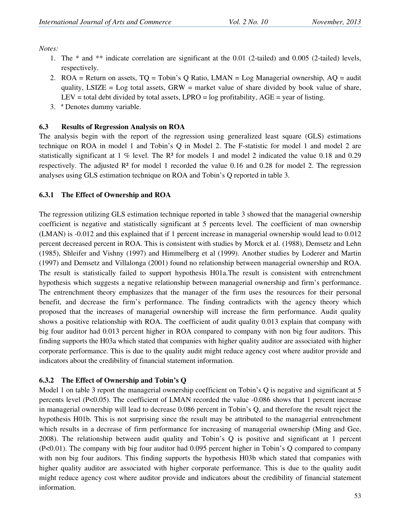*Notes:* 

- 1. The \* and \*\* indicate correlation are significant at the 0.01 (2-tailed) and 0.005 (2-tailed) levels, respectively.
- 2. ROA = Return on assets, TQ = Tobin's Q Ratio, LMAN = Log Managerial ownership, AQ = audit quality,  $LSIZE = Log$  total assets,  $GRW =$  market value of share divided by book value of share, LEV = total debt divided by total assets, LPRO =  $log$  profitability, AGE = year of listing.
- 3. ª Denotes dummy variable.

## **6.3 Results of Regression Analysis on ROA**

The analysis begin with the report of the regression using generalized least square (GLS) estimations technique on ROA in model 1 and Tobin's Q in Model 2. The F-statistic for model 1 and model 2 are statistically significant at  $1\%$  level. The R<sup>2</sup> for models 1 and model 2 indicated the value 0.18 and 0.29 respectively. The adjusted  $\mathbb{R}^2$  for model 1 recorded the value 0.16 and 0.28 for model 2. The regression analyses using GLS estimation technique on ROA and Tobin's Q reported in table 3.

## **6.3.1 The Effect of Ownership and ROA**

The regression utilizing GLS estimation technique reported in table 3 showed that the managerial ownership coefficient is negative and statistically significant at 5 percents level. The coefficient of man ownership (LMAN) is -0.012 and this explained that if 1 percent increase in managerial ownership would lead to 0.012 percent decreased percent in ROA. This is consistent with studies by Morck et al. (1988), Demsetz and Lehn (1985), Shleifer and Vishny (1997) and Himmelberg et al (1999). Another studies by Loderer and Martin (1997) and Demsetz and Villalonga (2001) found no relationship between managerial ownership and ROA. The result is statistically failed to support hypothesis H01a.The result is consistent with entrenchment hypothesis which suggests a negative relationship between managerial ownership and firm's performance. The entrenchment theory emphasizes that the manager of the firm uses the resources for their personal benefit, and decrease the firm's performance. The finding contradicts with the agency theory which proposed that the increases of managerial ownership will increase the firm performance. Audit quality shows a positive relationship with ROA. The coefficient of audit quality 0.013 explain that company with big four auditor had 0.013 percent higher in ROA compared to company with non big four auditors. This finding supports the H03a which stated that companies with higher quality auditor are associated with higher corporate performance. This is due to the quality audit might reduce agency cost where auditor provide and indicators about the credibility of financial statement information.

## **6.3.2 The Effect of Ownership and Tobin's Q**

Model 1 on table 3 report the managerial ownership coefficient on Tobin's Q is negative and significant at 5 percents level  $(P<0.05)$ . The coefficient of LMAN recorded the value  $-0.086$  shows that 1 percent increase in managerial ownership will lead to decrease 0.086 percent in Tobin's Q, and therefore the result reject the hypothesis H01b. This is not surprising since the result may be attributed to the managerial entrenchment which results in a decrease of firm performance for increasing of managerial ownership (Ming and Gee, 2008). The relationship between audit quality and Tobin's Q is positive and significant at 1 percent (P<0.01). The company with big four auditor had 0.095 percent higher in Tobin's Q compared to company with non big four auditors. This finding supports the hypothesis H03b which stated that companies with higher quality auditor are associated with higher corporate performance. This is due to the quality audit might reduce agency cost where auditor provide and indicators about the credibility of financial statement information.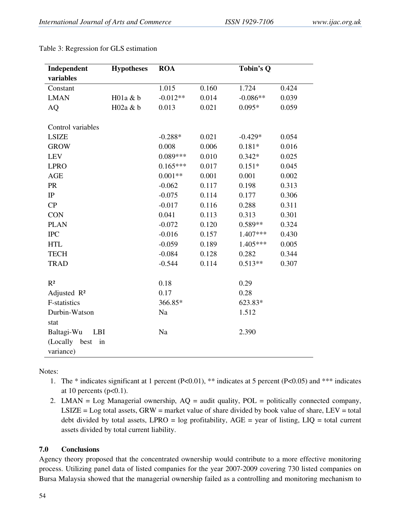| Independent              | <b>Hypotheses</b> | <b>ROA</b> |       | Tobin's Q  |       |
|--------------------------|-------------------|------------|-------|------------|-------|
| variables                |                   |            |       |            |       |
| Constant                 |                   | 1.015      | 0.160 | 1.724      | 0.424 |
| <b>LMAN</b>              | H01a & b          | $-0.012**$ | 0.014 | $-0.086**$ | 0.039 |
| <b>AQ</b>                | H02a & b          | 0.013      | 0.021 | $0.095*$   | 0.059 |
| Control variables        |                   |            |       |            |       |
| <b>LSIZE</b>             |                   | $-0.288*$  | 0.021 | $-0.429*$  | 0.054 |
| <b>GROW</b>              |                   | 0.008      | 0.006 | $0.181*$   | 0.016 |
| <b>LEV</b>               |                   | $0.089***$ | 0.010 | $0.342*$   | 0.025 |
| <b>LPRO</b>              |                   | $0.165***$ | 0.017 | $0.151*$   | 0.045 |
| <b>AGE</b>               |                   | $0.001**$  | 0.001 | 0.001      | 0.002 |
| PR                       |                   | $-0.062$   | 0.117 | 0.198      | 0.313 |
| $\rm IP$                 |                   | $-0.075$   | 0.114 | 0.177      | 0.306 |
| CP                       |                   | $-0.017$   | 0.116 | 0.288      | 0.311 |
| <b>CON</b>               |                   | 0.041      | 0.113 | 0.313      | 0.301 |
| <b>PLAN</b>              |                   | $-0.072$   | 0.120 | $0.589**$  | 0.324 |
| $\rm IPC$                |                   | $-0.016$   | 0.157 | 1.407***   | 0.430 |
| <b>HTL</b>               |                   | $-0.059$   | 0.189 | $1.405***$ | 0.005 |
| <b>TECH</b>              |                   | $-0.084$   | 0.128 | 0.282      | 0.344 |
| <b>TRAD</b>              |                   | $-0.544$   | 0.114 | $0.513**$  | 0.307 |
| R <sup>2</sup>           |                   | 0.18       |       | 0.29       |       |
| Adjusted R <sup>2</sup>  |                   | 0.17       |       | 0.28       |       |
| <b>F-statistics</b>      |                   | 366.85*    |       | 623.83*    |       |
| Durbin-Watson            |                   | Na         |       | 1.512      |       |
| stat                     |                   |            |       |            |       |
| Baltagi-Wu<br><b>LBI</b> |                   | Na         |       | 2.390      |       |
| (Locally<br>best<br>in   |                   |            |       |            |       |
| variance)                |                   |            |       |            |       |

Table 3: Regression for GLS estimation

Notes:

- 1. The \* indicates significant at 1 percent (P<0.01), \*\* indicates at 5 percent (P<0.05) and \*\*\* indicates at 10 percents ( $p<0.1$ ).
- 2. LMAN = Log Managerial ownership, AQ = audit quality, POL = politically connected company,  $LSIZE = Log total assets, GRW = market value of share divided by book value of share, LEV = total$ debt divided by total assets, LPRO =  $log$  profitability, AGE = year of listing, LIQ = total current assets divided by total current liability.

# **7.0 Conclusions**

Agency theory proposed that the concentrated ownership would contribute to a more effective monitoring process. Utilizing panel data of listed companies for the year 2007-2009 covering 730 listed companies on Bursa Malaysia showed that the managerial ownership failed as a controlling and monitoring mechanism to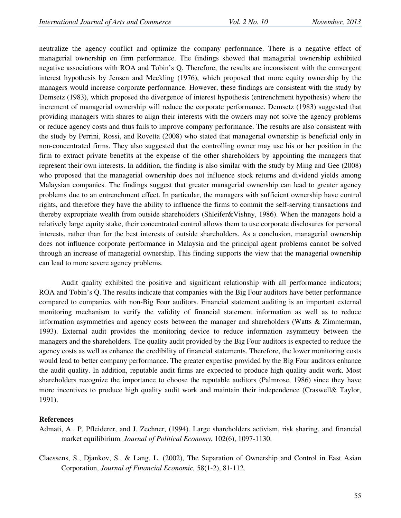neutralize the agency conflict and optimize the company performance. There is a negative effect of managerial ownership on firm performance. The findings showed that managerial ownership exhibited negative associations with ROA and Tobin's Q. Therefore, the results are inconsistent with the convergent interest hypothesis by Jensen and Meckling (1976), which proposed that more equity ownership by the managers would increase corporate performance. However, these findings are consistent with the study by Demsetz (1983), which proposed the divergence of interest hypothesis (entrenchment hypothesis) where the increment of managerial ownership will reduce the corporate performance. Demsetz (1983) suggested that providing managers with shares to align their interests with the owners may not solve the agency problems or reduce agency costs and thus fails to improve company performance. The results are also consistent with the study by Perrini, Rossi, and Rovetta (2008) who stated that managerial ownership is beneficial only in non-concentrated firms. They also suggested that the controlling owner may use his or her position in the firm to extract private benefits at the expense of the other shareholders by appointing the managers that represent their own interests. In addition, the finding is also similar with the study by Ming and Gee (2008) who proposed that the managerial ownership does not influence stock returns and dividend yields among Malaysian companies. The findings suggest that greater managerial ownership can lead to greater agency problems due to an entrenchment effect. In particular, the managers with sufficient ownership have control rights, and therefore they have the ability to influence the firms to commit the self-serving transactions and thereby expropriate wealth from outside shareholders (Shleifer&Vishny, 1986). When the managers hold a relatively large equity stake, their concentrated control allows them to use corporate disclosures for personal interests, rather than for the best interests of outside shareholders. As a conclusion, managerial ownership does not influence corporate performance in Malaysia and the principal agent problems cannot be solved through an increase of managerial ownership. This finding supports the view that the managerial ownership can lead to more severe agency problems.

Audit quality exhibited the positive and significant relationship with all performance indicators; ROA and Tobin's Q. The results indicate that companies with the Big Four auditors have better performance compared to companies with non-Big Four auditors. Financial statement auditing is an important external monitoring mechanism to verify the validity of financial statement information as well as to reduce information asymmetries and agency costs between the manager and shareholders (Watts & Zimmerman, 1993). External audit provides the monitoring device to reduce information asymmetry between the managers and the shareholders. The quality audit provided by the Big Four auditors is expected to reduce the agency costs as well as enhance the credibility of financial statements. Therefore, the lower monitoring costs would lead to better company performance. The greater expertise provided by the Big Four auditors enhance the audit quality. In addition, reputable audit firms are expected to produce high quality audit work. Most shareholders recognize the importance to choose the reputable auditors (Palmrose, 1986) since they have more incentives to produce high quality audit work and maintain their independence (Craswell& Taylor, 1991).

#### **References**

- Admati, A., P. Pfleiderer, and J. Zechner, (1994). Large shareholders activism, risk sharing, and financial market equilibirium. *Journal of Political Economy*, 102(6), 1097-1130.
- Claessens, S., Djankov, S., & Lang, L. (2002), The Separation of Ownership and Control in East Asian Corporation, *Journal of Financial Economic,* 58(1-2), 81-112.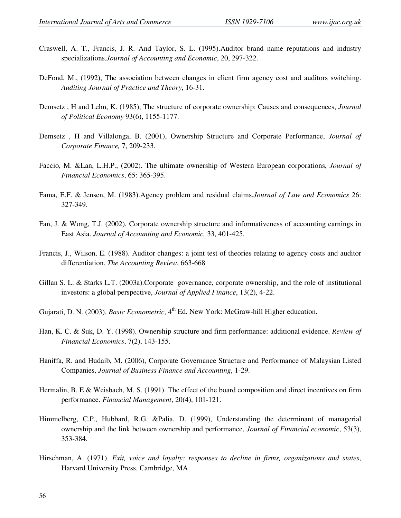- Craswell, A. T., Francis, J. R. And Taylor, S. L. (1995).Auditor brand name reputations and industry specializations.*Journal of Accounting and Economic*, 20, 297-322.
- DeFond, M., (1992), The association between changes in client firm agency cost and auditors switching. *Auditing Journal of Practice and Theory*, 16-31.
- Demsetz , H and Lehn, K. (1985), The structure of corporate ownership: Causes and consequences, *Journal of Political Economy* 93(6), 1155-1177.
- Demsetz , H and Villalonga, B. (2001), Ownership Structure and Corporate Performance, *Journal of Corporate Finance,* 7, 209-233.
- Faccio, M. &Lan, L.H.P., (2002). The ultimate ownership of Western European corporations, *Journal of Financial Economics*, 65: 365-395.
- Fama, E.F. & Jensen, M. (1983).Agency problem and residual claims.*Journal of Law and Economics* 26: 327-349.
- Fan, J. & Wong, T.J. (2002), Corporate ownership structure and informativeness of accounting earnings in East Asia. *Journal of Accounting and Economic,* 33, 401-425.
- Francis, J., Wilson, E. (1988). Auditor changes: a joint test of theories relating to agency costs and auditor differentiation. *The Accounting Review*, 663-668
- Gillan S. L. & Starks L.T. (2003a).Corporate governance, corporate ownership, and the role of institutional investors: a global perspective, *Journal of Applied Finance*, 13(2), 4-22.
- Gujarati, D. N. (2003), *Basic Econometric*, 4<sup>th</sup> Ed. New York: McGraw-hill Higher education.
- Han, K. C. & Suk, D. Y. (1998). Ownership structure and firm performance: additional evidence. *Review of Financial Economics*, 7(2), 143-155.
- Haniffa, R. and Hudaib, M. (2006), Corporate Governance Structure and Performance of Malaysian Listed Companies, *Journal of Business Finance and Accounting*, 1-29.
- Hermalin, B. E & Weisbach, M. S. (1991). The effect of the board composition and direct incentives on firm performance. *Financial Management*, 20(4), 101-121.
- Himmelberg, C.P., Hubbard, R.G. &Palia, D. (1999), Understanding the determinant of managerial ownership and the link between ownership and performance, *Journal of Financial economic*, 53(3), 353-384.
- Hirschman, A. (1971). *Exit, voice and loyalty: responses to decline in firms, organizations and states*, Harvard University Press, Cambridge, MA.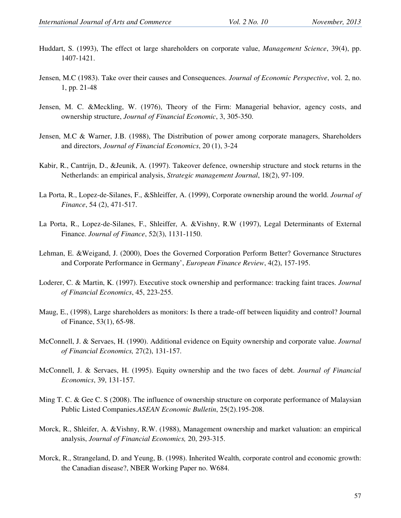- Huddart, S. (1993), The effect ot large shareholders on corporate value, *Management Science*, 39(4), pp. 1407-1421.
- Jensen, M.C (1983). Take over their causes and Consequences. *Journal of Economic Perspective*, vol. 2, no. 1, pp. 21-48
- Jensen, M. C. &Meckling, W. (1976), Theory of the Firm: Managerial behavior, agency costs, and ownership structure, *Journal of Financial Economic*, 3, 305-350.
- Jensen, M.C & Warner, J.B. (1988), The Distribution of power among corporate managers, Shareholders and directors, *Journal of Financial Economics*, 20 (1), 3-24
- Kabir, R., Cantrijn, D., &Jeunik, A. (1997). Takeover defence, ownership structure and stock returns in the Netherlands: an empirical analysis, *Strategic management Journal*, 18(2), 97-109.
- La Porta, R., Lopez-de-Silanes, F., &Shleiffer, A. (1999), Corporate ownership around the world. *Journal of Finance*, 54 (2), 471-517.
- La Porta, R., Lopez-de-Silanes, F., Shleiffer, A. &Vishny, R.W (1997), Legal Determinants of External Finance. *Journal of Finance*, 52(3), 1131-1150.
- Lehman, E. &Weigand, J. (2000), Does the Governed Corporation Perform Better? Governance Structures and Corporate Performance in Germany', *European Finance Review*, 4(2), 157-195.
- Loderer, C. & Martin, K. (1997). Executive stock ownership and performance: tracking faint traces. *Journal of Financial Economics*, 45, 223-255.
- Maug, E., (1998), Large shareholders as monitors: Is there a trade-off between liquidity and control? Journal of Finance, 53(1), 65-98.
- McConnell, J. & Servaes, H. (1990). Additional evidence on Equity ownership and corporate value. *Journal of Financial Economics,* 27(2), 131-157.
- McConnell, J. & Servaes, H. (1995). Equity ownership and the two faces of debt. *Journal of Financial Economics*, 39, 131-157.
- Ming T. C. & Gee C. S (2008). The influence of ownership structure on corporate performance of Malaysian Public Listed Companies.*ASEAN Economic Bulletin*, 25(2).195-208.
- Morck, R., Shleifer, A. &Vishny, R.W. (1988), Management ownership and market valuation: an empirical analysis, *Journal of Financial Economics,* 20, 293-315.
- Morck, R., Strangeland, D. and Yeung, B. (1998). Inherited Wealth, corporate control and economic growth: the Canadian disease?, NBER Working Paper no. W684.